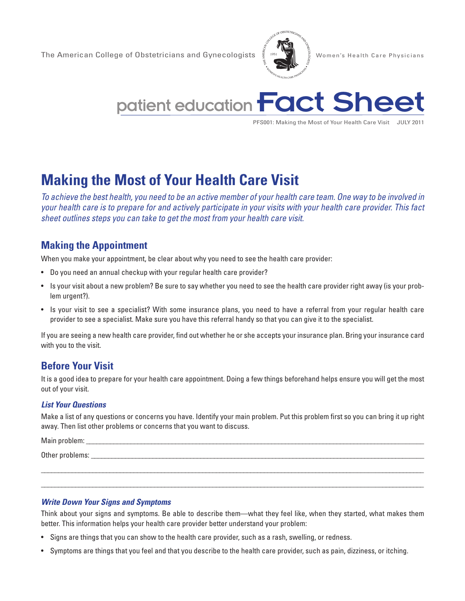The American College of Obstetricians and Gynecologists  $\frac{g}{2}$  1951  $\sum_{k=1}^{\infty}$  Women's Health Care Physicians





PFS001: Making the Most of Your Health Care Visit JULY 2011

# **Making the Most of Your Health Care Visit**

*To achieve the best health, you need to be an active member of your health care team. One way to be involved in your health care is to prepare for and actively participate in your visits with your health care provider. This fact sheet outlines steps you can take to get the most from your health care visit.* 

## **Making the Appointment**

When you make your appointment, be clear about why you need to see the health care provider:

- Do you need an annual checkup with your regular health care provider?
- Is your visit about a new problem? Be sure to say whether you need to see the health care provider right away (is your problem urgent?).
- Is your visit to see a specialist? With some insurance plans, you need to have a referral from your regular health care provider to see a specialist. Make sure you have this referral handy so that you can give it to the specialist.

If you are seeing a new health care provider, find out whether he or she accepts your insurance plan. Bring your insurance card with you to the visit.

## **Before Your Visit**

It is a good idea to prepare for your health care appointment. Doing a few things beforehand helps ensure you will get the most out of your visit.

#### *List Your Questions*

Make a list of any questions or concerns you have. Identify your main problem. Put this problem first so you can bring it up right away. Then list other problems or concerns that you want to discuss.

Main problem: \_\_\_\_\_\_\_\_\_\_\_\_\_\_\_\_\_\_\_\_\_\_\_\_\_\_\_\_\_\_\_\_\_\_\_\_\_\_\_\_\_\_\_\_\_\_\_\_\_\_\_\_\_\_\_\_\_\_\_\_\_\_\_\_\_\_\_\_\_\_\_\_\_\_\_\_\_\_\_\_\_\_\_\_\_\_\_\_\_\_\_\_\_\_\_\_\_\_

Other problems:

#### *Write Down Your Signs and Symptoms*

Think about your signs and symptoms. Be able to describe them—what they feel like, when they started, what makes them better. This information helps your health care provider better understand your problem:

\_\_\_\_\_\_\_\_\_\_\_\_\_\_\_\_\_\_\_\_\_\_\_\_\_\_\_\_\_\_\_\_\_\_\_\_\_\_\_\_\_\_\_\_\_\_\_\_\_\_\_\_\_\_\_\_\_\_\_\_\_\_\_\_\_\_\_\_\_\_\_\_\_\_\_\_\_\_\_\_\_\_\_\_\_\_\_\_\_\_\_\_\_\_\_\_\_\_\_\_\_\_\_\_\_\_\_\_\_\_\_ \_\_\_\_\_\_\_\_\_\_\_\_\_\_\_\_\_\_\_\_\_\_\_\_\_\_\_\_\_\_\_\_\_\_\_\_\_\_\_\_\_\_\_\_\_\_\_\_\_\_\_\_\_\_\_\_\_\_\_\_\_\_\_\_\_\_\_\_\_\_\_\_\_\_\_\_\_\_\_\_\_\_\_\_\_\_\_\_\_\_\_\_\_\_\_\_\_\_\_\_\_\_\_\_\_\_\_\_\_\_\_

- Signs are things that you can show to the health care provider, such as a rash, swelling, or redness.
- Symptoms are things that you feel and that you describe to the health care provider, such as pain, dizziness, or itching.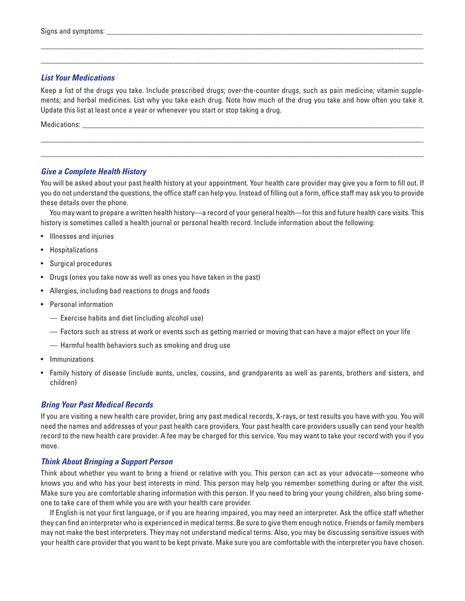#### *List Your Medications*

Keep a list of the drugs you take. Include prescribed drugs; over-the-counter drugs, such as pain medicine; vitamin supplements; and herbal medicines. List why you take each drug. Note how much of the drug you take and how often you take it. Update this list at least once a year or whenever you start or stop taking a drug.

\_\_\_\_\_\_\_\_\_\_\_\_\_\_\_\_\_\_\_\_\_\_\_\_\_\_\_\_\_\_\_\_\_\_\_\_\_\_\_\_\_\_\_\_\_\_\_\_\_\_\_\_\_\_\_\_\_\_\_\_\_\_\_\_\_\_\_\_\_\_\_\_\_\_\_\_\_\_\_\_\_\_\_\_\_\_\_\_\_\_\_\_\_\_\_\_\_\_\_\_\_\_\_\_\_\_\_\_\_\_\_ \_\_\_\_\_\_\_\_\_\_\_\_\_\_\_\_\_\_\_\_\_\_\_\_\_\_\_\_\_\_\_\_\_\_\_\_\_\_\_\_\_\_\_\_\_\_\_\_\_\_\_\_\_\_\_\_\_\_\_\_\_\_\_\_\_\_\_\_\_\_\_\_\_\_\_\_\_\_\_\_\_\_\_\_\_\_\_\_\_\_\_\_\_\_\_\_\_\_\_\_\_\_\_\_\_\_\_\_\_\_\_

\_\_\_\_\_\_\_\_\_\_\_\_\_\_\_\_\_\_\_\_\_\_\_\_\_\_\_\_\_\_\_\_\_\_\_\_\_\_\_\_\_\_\_\_\_\_\_\_\_\_\_\_\_\_\_\_\_\_\_\_\_\_\_\_\_\_\_\_\_\_\_\_\_\_\_\_\_\_\_\_\_\_\_\_\_\_\_\_\_\_\_\_\_\_\_\_\_\_\_\_\_\_\_\_\_\_\_\_\_\_\_ \_\_\_\_\_\_\_\_\_\_\_\_\_\_\_\_\_\_\_\_\_\_\_\_\_\_\_\_\_\_\_\_\_\_\_\_\_\_\_\_\_\_\_\_\_\_\_\_\_\_\_\_\_\_\_\_\_\_\_\_\_\_\_\_\_\_\_\_\_\_\_\_\_\_\_\_\_\_\_\_\_\_\_\_\_\_\_\_\_\_\_\_\_\_\_\_\_\_\_\_\_\_\_\_\_\_\_\_\_\_\_

Medications: \_\_\_\_\_\_\_\_\_\_\_\_\_\_\_\_\_\_\_\_\_\_\_\_\_\_\_\_\_\_\_\_\_\_\_\_\_\_\_\_\_\_\_\_\_\_\_\_\_\_\_\_\_\_\_\_\_\_\_\_\_\_\_\_\_\_\_\_\_\_\_\_\_\_\_\_\_\_\_\_\_\_\_\_\_\_\_\_\_\_\_\_\_\_\_\_\_\_\_

#### *Give a Complete Health History*

You will be asked about your past health history at your appointment. Your health care provider may give you a form to fill out. If you do not understand the questions, the office staff can help you. Instead of filling out a form, office staff may ask you to provide these details over the phone.

You may want to prepare a written health history—a record of your general health—for this and future health care visits. This history is sometimes called a health journal or personal health record. Include information about the following:

- Illnesses and injuries
- Hospitalizations
- Surgical procedures
- Drugs (ones you take now as well as ones you have taken in the past)
- Allergies, including bad reactions to drugs and foods
- Personal information
	- Exercise habits and diet (including alcohol use)
	- Factors such as stress at work or events such as getting married or moving that can have a major effect on your life
	- Harmful health behaviors such as smoking and drug use
- Immunizations
- Family history of disease (include aunts, uncles, cousins, and grandparents as well as parents, brothers and sisters, and children)

#### *Bring Your Past Medical Records*

If you are visiting a new health care provider, bring any past medical records, X-rays, or test results you have with you. You will need the names and addresses of your past health care providers. Your past health care providers usually can send your health record to the new health care provider. A fee may be charged for this service. You may want to take your record with you if you move.

#### *Think About Bringing a Support Person*

Think about whether you want to bring a friend or relative with you. This person can act as your advocate—someone who knows you and who has your best interests in mind. This person may help you remember something during or after the visit. Make sure you are comfortable sharing information with this person. If you need to bring your young children, also bring someone to take care of them while you are with your health care provider.

If English is not your first language, or if you are hearing impaired, you may need an interpreter. Ask the office staff whether they can find an interpreter who is experienced in medical terms. Be sure to give them enough notice. Friends or family members may not make the best interpreters. They may not understand medical terms. Also, you may be discussing sensitive issues with your health care provider that you want to be kept private. Make sure you are comfortable with the interpreter you have chosen.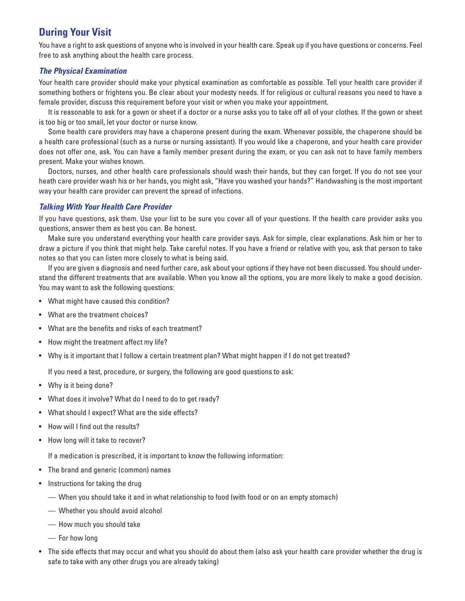# **During Your Visit**

You have a right to ask questions of anyone who is involved in your health care. Speak up if you have questions or concerns. Feel free to ask anything about the health care process.

#### *The Physical Examination*

Your health care provider should make your physical examination as comfortable as possible. Tell your health care provider if something bothers or frightens you. Be clear about your modesty needs. If for religious or cultural reasons you need to have a female provider, discuss this requirement before your visit or when you make your appointment.

It is reasonable to ask for a gown or sheet if a doctor or a nurse asks you to take off all of your clothes. If the gown or sheet is too big or too small, let your doctor or nurse know.

Some health care providers may have a chaperone present during the exam. Whenever possible, the chaperone should be a health care professional (such as a nurse or nursing assistant). If you would like a chaperone, and your health care provider does not offer one, ask. You can have a family member present during the exam, or you can ask not to have family members present. Make your wishes known.

Doctors, nurses, and other health care professionals should wash their hands, but they can forget. If you do not see your heath care provider wash his or her hands, you might ask, "Have you washed your hands?" Handwashing is the most important way your health care provider can prevent the spread of infections.

#### *Talking With Your Health Care Provider*

If you have questions, ask them. Use your list to be sure you cover all of your questions. If the health care provider asks you questions, answer them as best you can. Be honest.

Make sure you understand everything your health care provider says. Ask for simple, clear explanations. Ask him or her to draw a picture if you think that might help. Take careful notes. If you have a friend or relative with you, ask that person to take notes so that you can listen more closely to what is being said.

If you are given a diagnosis and need further care, ask about your options if they have not been discussed. You should understand the different treatments that are available. When you know all the options, you are more likely to make a good decision. You may want to ask the following questions:

- What might have caused this condition?
- What are the treatment choices?
- What are the benefits and risks of each treatment?
- How might the treatment affect my life?
- Why is it important that I follow a certain treatment plan? What might happen if I do not get treated?

If you need a test, procedure, or surgery, the following are good questions to ask:

- Why is it being done?
- What does it involve? What do I need to do to get ready?
- What should I expect? What are the side effects?
- How will I find out the results?
- How long will it take to recover?

If a medication is prescribed, it is important to know the following information:

- The brand and generic (common) names
- Instructions for taking the drug
	- When you should take it and in what relationship to food (with food or on an empty stomach)
	- Whether you should avoid alcohol
	- How much you should take
	- For how long
- The side effects that may occur and what you should do about them (also ask your health care provider whether the drug is safe to take with any other drugs you are already taking)